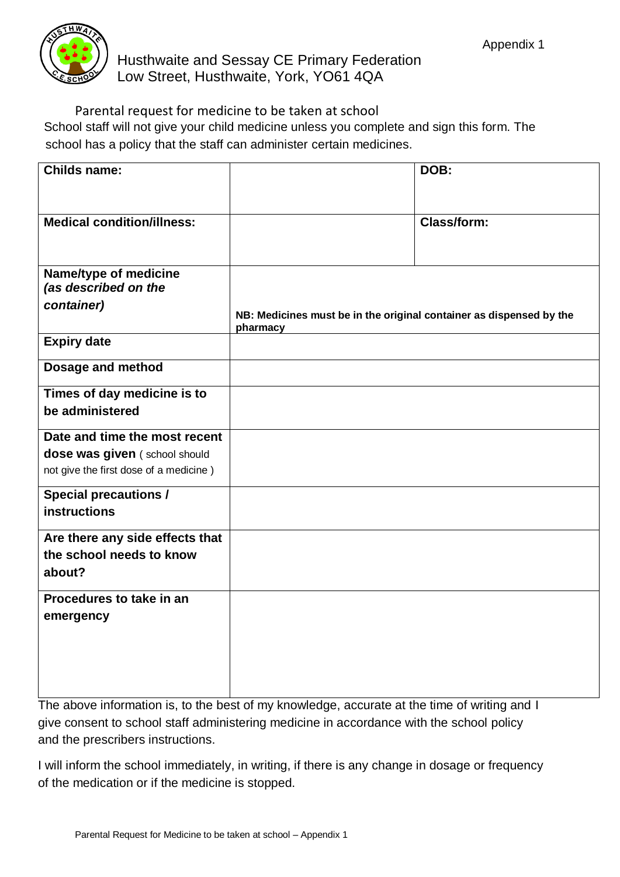

Parental request for medicine to be taken at school School staff will not give your child medicine unless you complete and sign this form. The school has a policy that the staff can administer certain medicines.

| <b>Childs name:</b>                                         |                                                                                 | DOB:               |
|-------------------------------------------------------------|---------------------------------------------------------------------------------|--------------------|
| <b>Medical condition/illness:</b>                           |                                                                                 | <b>Class/form:</b> |
| Name/type of medicine<br>(as described on the<br>container) | NB: Medicines must be in the original container as dispensed by the<br>pharmacy |                    |
| <b>Expiry date</b>                                          |                                                                                 |                    |
| Dosage and method                                           |                                                                                 |                    |
| Times of day medicine is to<br>be administered              |                                                                                 |                    |
| Date and time the most recent                               |                                                                                 |                    |
| dose was given (school should                               |                                                                                 |                    |
| not give the first dose of a medicine)                      |                                                                                 |                    |
| <b>Special precautions /</b>                                |                                                                                 |                    |
| instructions                                                |                                                                                 |                    |
| Are there any side effects that                             |                                                                                 |                    |
| the school needs to know                                    |                                                                                 |                    |
| about?                                                      |                                                                                 |                    |
| Procedures to take in an                                    |                                                                                 |                    |
| emergency                                                   |                                                                                 |                    |
|                                                             |                                                                                 |                    |
|                                                             |                                                                                 |                    |
|                                                             |                                                                                 |                    |
|                                                             |                                                                                 |                    |

The above information is, to the best of my knowledge, accurate at the time of writing and I give consent to school staff administering medicine in accordance with the school policy and the prescribers instructions.

I will inform the school immediately, in writing, if there is any change in dosage or frequency of the medication or if the medicine is stopped.